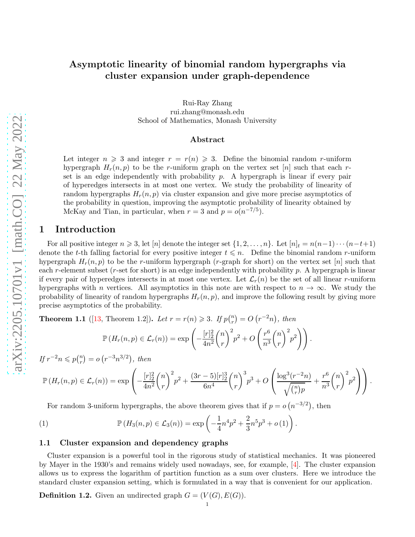Rui-Ray Zhang rui.zhang@monash.edu School of Mathematics, Monash University

#### Abstract

Let integer  $n \geq 3$  and integer  $r = r(n) \geq 3$ . Define the binomial random r-uniform hypergraph  $H_r(n, p)$  to be the r-uniform graph on the vertex set [n] such that each rset is an edge independently with probability  $p$ . A hypergraph is linear if every pair of hyperedges intersects in at most one vertex. We study the probability of linearity of random hypergraphs  $H_r(n, p)$  via cluster expansion and give more precise asymptotics of the probability in question, improving the asymptotic probability of linearity obtained by McKay and Tian, in particular, when  $r = 3$  and  $p = o(n^{-7/5})$ .

### 1 Introduction

For all positive integer  $n \geq 3$ , let  $[n]$  denote the integer set  $\{1, 2, \ldots, n\}$ . Let  $[n]_t = n(n-1)\cdots(n-t+1)$ denote the t-th falling factorial for every positive integer  $t \leq n$ . Define the binomial random r-uniform hypergraph  $H_r(n, p)$  to be the r-uniform hypergraph (r-graph for short) on the vertex set [n] such that each r-element subset (r-set for short) is an edge independently with probability  $p$ . A hypergraph is linear if every pair of hyperedges intersects in at most one vertex. Let  $\mathcal{L}_r(n)$  be the set of all linear r-uniform hypergraphs with n vertices. All asymptotics in this note are with respect to  $n \to \infty$ . We study the probability of linearity of random hypergraphs  $H_r(n, p)$ , and improve the following result by giving more precise asymptotics of the probability.

**Theorem 1.1** ([\[13,](#page-12-0) Theorem 1.2]). Let  $r = r(n) \ge 3$ . If  $p\binom{n}{r}$  $\binom{n}{r} = O(r^{-2}n), \text{ then}$ 

$$
\mathbb{P}\left(H_r(n,p)\in\mathcal{L}_r(n)\right)=\exp\left(-\frac{[r]_2^2}{4n^2}\binom{n}{r}^2p^2+O\left(\frac{r^6}{n^3}\binom{n}{r}^2p^2\right)\right).
$$

If  $r^{-2}n \leqslant p\binom{n}{r}$  $\binom{n}{r} = o(r^{-3}n^{3/2}), \text{ then}$ 

$$
\mathbb{P}\left(H_r(n,p) \in \mathcal{L}_r(n)\right) = \exp\left(-\frac{[r]_2^2}{4n^2} {n \choose r}^2 p^2 + \frac{(3r-5)[r]_2^3}{6n^4} {n \choose r}^3 p^3 + O\left(\frac{\log^3(r^{-2}n)}{\sqrt{\binom{n}{r}p}} + \frac{r^6}{n^3} {n \choose r}^2 p^2\right)\right).
$$

For random 3-uniform hypergraphs, the above theorem gives that if  $p = o(n^{-3/2})$ , then

<span id="page-0-0"></span>(1) 
$$
\mathbb{P}(H_3(n,p) \in \mathcal{L}_3(n)) = \exp\left(-\frac{1}{4}n^4p^2 + \frac{2}{3}n^5p^3 + o(1)\right).
$$

#### 1.1 Cluster expansion and dependency graphs

Cluster expansion is a powerful tool in the rigorous study of statistical mechanics. It was pioneered by Mayer in the 1930's and remains widely used nowadays, see, for example, [\[4\]](#page-11-0). The cluster expansion allows us to express the logarithm of partition function as a sum over clusters. Here we introduce the standard cluster expansion setting, which is formulated in a way that is convenient for our application.

**Definition 1.2.** Given an undirected graph  $G = (V(G), E(G))$ .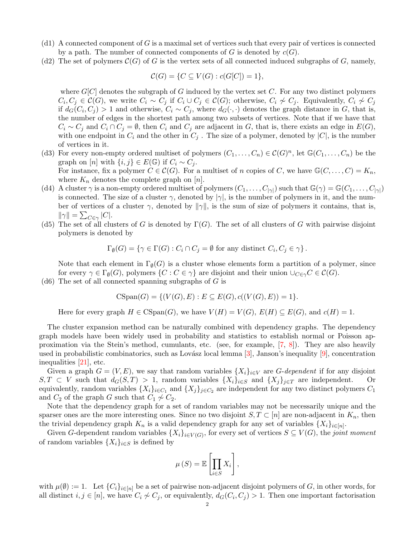- (d1) A connected component of G is a maximal set of vertices such that every pair of vertices is connected by a path. The number of connected components of G is denoted by  $c(G)$ .
- (d2) The set of polymers  $\mathcal{C}(G)$  of G is the vertex sets of all connected induced subgraphs of G, namely,

$$
\mathcal{C}(G) = \{ C \subseteq V(G) : c(G[C]) = 1 \},\
$$

where  $G[C]$  denotes the subgraph of G induced by the vertex set C. For any two distinct polymers  $C_i, C_j \in \mathcal{C}(G)$ , we write  $C_i \sim C_j$  if  $C_i \cup C_j \in \mathcal{C}(G)$ ; otherwise,  $C_i \nsim C_j$ . Equivalently,  $C_i \nsim C_j$ if  $d_G(C_i, C_j) > 1$  and otherwise,  $C_i \sim C_j$ , where  $d_G(\cdot, \cdot)$  denotes the graph distance in G, that is, the number of edges in the shortest path among two subsets of vertices. Note that if we have that  $C_i \sim C_j$  and  $C_i \cap C_j = \emptyset$ , then  $C_i$  and  $C_j$  are adjacent in G, that is, there exists an edge in  $E(G)$ , with one endpoint in  $C_i$  and the other in  $C_j$ . The size of a polymer, denoted by  $|C|$ , is the number of vertices in it.

- (d3) For every non-empty ordered multiset of polymers  $(C_1, \ldots, C_n) \in C(G)^n$ , let  $\mathbb{G}(C_1, \ldots, C_n)$  be the graph on  $[n]$  with  $\{i, j\} \in E(\mathbb{G})$  if  $C_i \sim C_j$ . For instance, fix a polymer  $C \in \mathcal{C}(G)$ . For a multiset of n copies of C, we have  $\mathbb{G}(C, \ldots, C) = K_n$ , where  $K_n$  denotes the complete graph on [n].
- (d4) A cluster  $\gamma$  is a non-empty ordered multiset of polymers  $(C_1, \ldots, C_{|\gamma|})$  such that  $\mathbb{G}(\gamma) = \mathbb{G}(C_1, \ldots, C_{|\gamma|})$ is connected. The size of a cluster  $\gamma$ , denoted by  $|\gamma|$ , is the number of polymers in it, and the number of vertices of a cluster  $\gamma$ , denoted by  $\|\gamma\|$ , is the sum of size of polymers it contains, that is,  $\|\gamma\| = \sum_{C \in \gamma} |C|.$
- (d5) The set of all clusters of G is denoted by  $\Gamma(G)$ . The set of all clusters of G with pairwise disjoint polymers is denoted by

$$
\Gamma_{\emptyset}(G) = \{ \gamma \in \Gamma(G) : C_i \cap C_j = \emptyset \text{ for any distinct } C_i, C_j \in \gamma \}.
$$

Note that each element in  $\Gamma_{\emptyset}(G)$  is a cluster whose elements form a partition of a polymer, since for every  $\gamma \in \Gamma_{\emptyset}(G)$ , polymers  $\{C : C \in \gamma\}$  are disjoint and their union  $\cup_{C \in \gamma} C \in \mathcal{C}(G)$ .

(d6) The set of all connected spanning subgraphs of  $G$  is

$$
CSpan(G) = \{ (V(G), E) : E \subseteq E(G), c((V(G), E)) = 1 \}.
$$

Here for every graph  $H \in \text{CSpan}(G)$ , we have  $V(H) = V(G)$ ,  $E(H) \subseteq E(G)$ , and  $c(H) = 1$ .

The cluster expansion method can be naturally combined with dependency graphs. The dependency graph models have been widely used in probability and statistics to establish normal or Poisson approximation via the Stein's method, cumulants, etc. (see, for example, [\[7,](#page-11-1) [8\]](#page-12-1)). They are also heavily used in probabilistic combinatorics, such as Lovász local lemma  $[3]$ , Janson's inequality  $[9]$ , concentration inequalities [\[21\]](#page-12-3), etc.

Given a graph  $G = (V, E)$ , we say that random variables  $\{X_i\}_{i \in V}$  are G-dependent if for any disjoint  $S, T \subset V$  such that  $d_G(S, T) > 1$ , random variables  $\{X_i\}_{i \in S}$  and  $\{X_i\}_{i \in T}$  are independent. Or equivalently, random variables  $\{X_i\}_{i \in C_1}$  and  $\{X_j\}_{j \in C_2}$  are independent for any two distinct polymers  $C_1$ and  $C_2$  of the graph G such that  $C_1 \not\sim C_2$ .

Note that the dependency graph for a set of random variables may not be necessarily unique and the sparser ones are the more interesting ones. Since no two disjoint  $S, T \subset [n]$  are non-adjacent in  $K_n$ , then the trivial dependency graph  $K_n$  is a valid dependency graph for any set of variables  $\{X_i\}_{i\in[n]}$ .

Given G-dependent random variables  $\{X_i\}_{i\in V(G)}$ , for every set of vertices  $S\subseteq V(G)$ , the joint moment of random variables  $\{X_i\}_{i\in S}$  is defined by

$$
\mu(S) = \mathbb{E}\left[\prod_{i \in S} X_i\right],
$$

with  $\mu(\emptyset) := 1$ . Let  $\{C_i\}_{i \in [n]}$  be a set of pairwise non-adjacent disjoint polymers of G, in other words, for all distinct  $i, j \in [n]$ , we have  $C_i \not\sim C_j$ , or equivalently,  $d_G(C_i, C_j) > 1$ . Then one important factorisation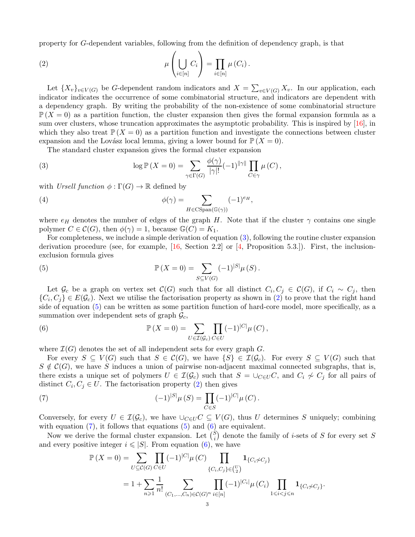property for G-dependent variables, following from the definition of dependency graph, is that

<span id="page-2-1"></span>(2) 
$$
\mu\left(\bigcup_{i\in[n]} C_i\right) = \prod_{i\in[n]} \mu(C_i).
$$

Let  ${X_v}_{v \in V(G)}$  be G-dependent random indicators and  $X = \sum_{v \in V(G)} X_v$ . In our application, each indicator indicates the occurrence of some combinatorial structure, and indicators are dependent with a dependency graph. By writing the probability of the non-existence of some combinatorial structure  $\mathbb{P}(X=0)$  as a partition function, the cluster expansion then gives the formal expansion formula as a sum over clusters, whose truncation approximates the asymptotic probability. This is inspired by [\[16\]](#page-12-4), in which they also treat  $\mathbb{P}(X=0)$  as a partition function and investigate the connections between cluster expansion and the Lovász local lemma, giving a lower bound for  $\mathbb{P} (X = 0)$ .

The standard cluster expansion gives the formal cluster expansion

<span id="page-2-0"></span>(3) 
$$
\log \mathbb{P}\left(X=0\right) = \sum_{\gamma \in \Gamma(G)} \frac{\phi(\gamma)}{|\gamma|!} (-1)^{||\gamma||} \prod_{C \in \gamma} \mu(C),
$$

with Ursell function  $\phi : \Gamma(G) \to \mathbb{R}$  defined by

<span id="page-2-5"></span>(4) 
$$
\phi(\gamma) = \sum_{H \in \text{CSpan}(\mathbb{G}(\gamma))} (-1)^{e_H},
$$

where  $e_H$  denotes the number of edges of the graph H. Note that if the cluster  $\gamma$  contains one single polymer  $C \in \mathcal{C}(G)$ , then  $\phi(\gamma) = 1$ , because  $\mathbb{G}(C) = K_1$ .

For completeness, we include a simple derivation of equation [\(3\)](#page-2-0), following the routine cluster expansion derivation procedure (see, for example,  $[16, \text{ Section 2.2}]$  or  $[4, \text{Proposition 5.3.}].$  First, the inclusionexclusion formula gives

<span id="page-2-2"></span>(5) 
$$
\mathbb{P}(X = 0) = \sum_{S \subseteq V(G)} (-1)^{|S|} \mu(S).
$$

Let  $\mathcal{G}_c$  be a graph on vertex set  $\mathcal{C}(G)$  such that for all distinct  $C_i, C_j \in \mathcal{C}(G)$ , if  $C_i \sim C_j$ , then  $\{C_i, C_j\} \in E(\mathcal{G}_c)$ . Next we utilise the factorisation property as shown in [\(2\)](#page-2-1) to prove that the right hand side of equation [\(5\)](#page-2-2) can be written as some partition function of hard-core model, more specifically, as a summation over independent sets of graph  $\mathcal{G}_c$ ,

<span id="page-2-4"></span>(6) 
$$
\mathbb{P}\left(X=0\right) = \sum_{U \in \mathcal{I}(\mathcal{G}_c)} \prod_{C \in U} (-1)^{|C|} \mu(C),
$$

where  $\mathcal{I}(G)$  denotes the set of all independent sets for every graph G.

For every  $S \subseteq V(G)$  such that  $S \in \mathcal{C}(G)$ , we have  $\{S\} \in \mathcal{I}(\mathcal{G}_c)$ . For every  $S \subseteq V(G)$  such that  $S \notin \mathcal{C}(G)$ , we have S induces a union of pairwise non-adjacent maximal connected subgraphs, that is, there exists a unique set of polymers  $U \in \mathcal{I}(\mathcal{G}_c)$  such that  $S = \bigcup_{C \in U} C$ , and  $C_i \nsim C_j$  for all pairs of distinct  $C_i, C_j \in U$ . The factorisation property [\(2\)](#page-2-1) then gives

<span id="page-2-3"></span>(7) 
$$
(-1)^{|S|} \mu(S) = \prod_{C \in S} (-1)^{|C|} \mu(C).
$$

Conversely, for every  $U \in \mathcal{I}(\mathcal{G}_c)$ , we have  $\cup_{C \in U} C \subseteq V(G)$ , thus U determines S uniquely; combining with equation  $(7)$ , it follows that equations  $(5)$  and  $(6)$  are equivalent.

Now we derive the formal cluster expansion. Let  $\binom{S}{i}$  $i_j^s$  denote the family of *i*-sets of S for every set S and every positive integer  $i \leq |S|$ . From equation [\(6\)](#page-2-4), we have

$$
\mathbb{P}(X=0) = \sum_{U \subseteq C(G)} \prod_{C \in U} (-1)^{|C|} \mu(C) \prod_{\{C_i, C_j\} \in {U \choose 2}} \mathbf{1}_{\{C_i \not\sim C_j\}} \n= 1 + \sum_{n \geq 1} \frac{1}{n!} \sum_{(C_1, \ldots, C_n) \in C(G)^n} \prod_{i \in [n]} (-1)^{|C_i|} \mu(C_i) \prod_{1 \leq i < j \leq n} \mathbf{1}_{\{C_i \not\sim C_j\}}.
$$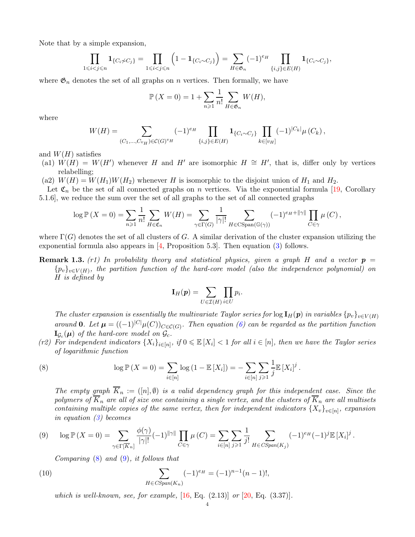Note that by a simple expansion,

$$
\prod_{1 \leq i < j \leq n} \mathbf{1}_{\{C_i \neq C_j\}} = \prod_{1 \leq i < j \leq n} \left(1 - \mathbf{1}_{\{C_i \sim C_j\}}\right) = \sum_{H \in \mathfrak{G}_n} (-1)^{e_H} \prod_{\{i,j\} \in E(H)} \mathbf{1}_{\{C_i \sim C_j\}},
$$

where  $\mathfrak{G}_n$  denotes the set of all graphs on *n* vertices. Then formally, we have

$$
\mathbb{P}\left(X=0\right) = 1 + \sum_{n\geqslant 1} \frac{1}{n!} \sum_{H\in\mathfrak{G}_n} W(H),
$$

where

$$
W(H) = \sum_{(C_1,...,C_{v_H}) \in \mathcal{C}(G)^{v_H}} (-1)^{e_H} \prod_{\{i,j\} \in E(H)} \mathbf{1}_{\{C_i \sim C_j\}} \prod_{k \in [v_H]} (-1)^{|C_k|} \mu(C_k),
$$

and  $W(H)$  satisfies

(a1)  $\dot{W}(H) = W(H')$  whenever H and H' are isomorphic  $H \cong H'$ , that is, differ only by vertices relabelling;

(a2)  $W(H) = W(H_1)W(H_2)$  whenever H is isomorphic to the disjoint union of  $H_1$  and  $H_2$ .

Let  $\mathfrak{C}_n$  be the set of all connected graphs on n vertices. Via the exponential formula [\[19,](#page-12-5) Corollary 5.1.6], we reduce the sum over the set of all graphs to the set of all connected graphs

$$
\log \mathbb{P}\left(X=0\right) = \sum_{n\geqslant 1} \frac{1}{n!} \sum_{H \in \mathfrak{C}_n} W(H) = \sum_{\gamma \in \Gamma(G)} \frac{1}{|\gamma|!} \sum_{H \in \text{CSpan}(\mathbb{G}(\gamma))} (-1)^{e_H + ||\gamma||} \prod_{C \in \gamma} \mu(C),
$$

where  $\Gamma(G)$  denotes the set of all clusters of G. A similar derivation of the cluster expansion utilizing the exponential formula also appears in  $[4,$  Proposition 5.3]. Then equation [\(3\)](#page-2-0) follows.

**Remark 1.3.** (r1) In probability theory and statistical physics, given a graph H and a vector  $p =$  ${p_v}_{v\in V(H)}$ , the partition function of the hard-core model (also the independence polynomial) on H is defined by

$$
\mathbf{I}_H(\boldsymbol{p}) = \sum_{U \in \mathcal{I}(H)} \prod_{i \in U} p_i.
$$

The cluster expansion is essentially the multivariate Taylor series for  $\log I_H(p)$  in variables  $\{p_v\}_{v\in V(H)}$ around **0**. Let  $\mu = ((-1)^{|C|}\mu(C))_{C \in \mathcal{C}(G)}$ . Then equation [\(6\)](#page-2-4) can be regarded as the partition function  $\mathbf{I}_{\mathcal{G}_c}(\boldsymbol{\mu})$  of the hard-core model on  $\mathcal{G}_c$ .

(r2) For independent indicators  $\{X_i\}_{i\in[n]}$ , if  $0 \leq \mathbb{E}[X_i] < 1$  for all  $i \in [n]$ , then we have the Taylor series of logarithmic function

<span id="page-3-0"></span>(8) 
$$
\log \mathbb{P}(X = 0) = \sum_{i \in [n]} \log (1 - \mathbb{E}[X_i]) = -\sum_{i \in [n]} \sum_{j \geq 1} \frac{1}{j} \mathbb{E}[X_i]^j.
$$

The empty graph  $\overline{K}_n := (n, \emptyset)$  is a valid dependency graph for this independent case. Since the polymers of  $\overline{K}_n$  are all of size one containing a single vertex, and the clusters of  $\overline{K}_n$  are all multisets containing multiple copies of the same vertex, then for independent indicators  $\{X_v\}_{v\in[n]}$ , expansion in equation [\(3\)](#page-2-0) becomes

<span id="page-3-1"></span>
$$
(9) \quad \log \mathbb{P}\left(X=0\right) = \sum_{\gamma \in \Gamma[\overline{K}_n]} \frac{\phi(\gamma)}{|\gamma|!} (-1)^{||\gamma||} \prod_{C \in \gamma} \mu\left(C\right) = \sum_{i \in [n]} \sum_{j \geq 1} \frac{1}{j!} \sum_{H \in CSpan(K_j)} (-1)^{e_H} (-1)^{j} \mathbb{E}\left[X_i\right]^j.
$$

Comparing [\(8\)](#page-3-0) and [\(9\)](#page-3-1), it follows that

<span id="page-3-2"></span>(10) 
$$
\sum_{H \in CSpan(K_n)} (-1)^{e_H} = (-1)^{n-1} (n-1)!,
$$

which is well-known, see, for example,  $[16, Eq. (2.13)]$  $[16, Eq. (2.13)]$  or  $[20, Eq. (3.37)].$  $[20, Eq. (3.37)].$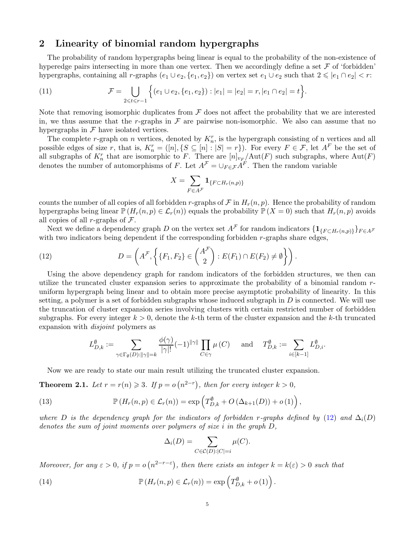## 2 Linearity of binomial random hypergraphs

The probability of random hypergraphs being linear is equal to the probability of the non-existence of hyperedge pairs intersecting in more than one vertex. Then we accordingly define a set  $\mathcal F$  of 'forbidden' hypergraphs, containing all r-graphs  $(e_1 \cup e_2, \{e_1, e_2\})$  on vertex set  $e_1 \cup e_2$  such that  $2 \leqslant |e_1 \cap e_2| < r$ :

<span id="page-4-2"></span>(11) 
$$
\mathcal{F} = \bigcup_{2 \leq t \leq r-1} \Big\{ (e_1 \cup e_2, \{e_1, e_2\}) : |e_1| = |e_2| = r, |e_1 \cap e_2| = t \Big\}.
$$

Note that removing isomorphic duplicates from  $\mathcal F$  does not affect the probability that we are interested in, we thus assume that the r-graphs in  $\mathcal F$  are pairwise non-isomorphic. We also can assume that no hypergraphs in  $\mathcal F$  have isolated vertices.

The complete r-graph on n vertices, denoted by  $K_n^r$ , is the hypergraph consisting of n vertices and all possible edges of size r, that is,  $K_n^r = ([n], \{S \subseteq [n] : |S| = r\})$ . For every  $F \in \mathcal{F}$ , let  $A^F$  be the set of all subgraphs of  $K_n^r$  that are isomorphic to F. There are  $[n]_{v_{F}}/Aut(F)$  such subgraphs, where  $Aut(F)$ denotes the number of automorphisms of F. Let  $A^{\mathcal{F}} = \cup_{F \in \mathcal{F}} A^F$ . Then the random variable

$$
X = \sum_{F \in A^{\mathcal{F}}} \mathbf{1}_{\{F \subset H_r(n,p)\}}
$$

counts the number of all copies of all forbidden r-graphs of  $\mathcal F$  in  $H_r(n,p)$ . Hence the probability of random hypergraphs being linear  $\mathbb{P}(H_r(n,p) \in \mathcal{L}_r(n))$  equals the probability  $\mathbb{P}(X=0)$  such that  $H_r(n,p)$  avoids all copies of all r-graphs of  $\mathcal F$ .

Next we define a dependency graph D on the vertex set  $A^{\mathcal{F}}$  for random indicators  $\{1_{\{F \subset H_r(n,p)\}}\}_{F \in A^{\mathcal{F}}}$ with two indicators being dependent if the corresponding forbidden  $r$ -graphs share edges,

<span id="page-4-0"></span>(12) 
$$
D = \left(A^{\mathcal{F}}, \left\{ \{F_1, F_2\} \in \binom{A^{\mathcal{F}}}{2} : E(F_1) \cap E(F_2) \neq \emptyset \right\} \right).
$$

Using the above dependency graph for random indicators of the forbidden structures, we then can utilize the truncated cluster expansion series to approximate the probability of a binomial random runiform hypergraph being linear and to obtain more precise asymptotic probability of linearity. In this setting, a polymer is a set of forbidden subgraphs whose induced subgraph in  $D$  is connected. We will use the truncation of cluster expansion series involving clusters with certain restricted number of forbidden subgraphs. For every integer  $k > 0$ , denote the k-th term of the cluster expansion and the k-th truncated expansion with disjoint polymers as

$$
L_{D,k}^{\emptyset}:=\sum_{\gamma\in\Gamma_{\emptyset}(D): \|\gamma\|=k}\frac{\phi(\gamma)}{|\gamma|!}(-1)^{\|\gamma\|}\prod_{C\in\gamma}\mu\left(C\right)\quad \text{ and }\quad T_{D,k}^{\emptyset}:=\sum_{i\in[k-1]}L_{D,i}^{\emptyset}.
$$

Now we are ready to state our main result utilizing the truncated cluster expansion.

**Theorem 2.1.** Let  $r = r(n) \ge 3$ . If  $p = o(n^{2-r})$ , then for every integer  $k > 0$ ,

<span id="page-4-3"></span>(13) 
$$
\mathbb{P}\left(H_r(n,p)\in\mathcal{L}_r(n)\right)=\exp\left(T_{D,k}^{\emptyset}+O\left(\Delta_{k+1}(D)\right)+o(1)\right),
$$

where D is the dependency graph for the indicators of forbidden r-graphs defined by [\(12\)](#page-4-0) and  $\Delta_i(D)$ denotes the sum of joint moments over polymers of size i in the graph  $D$ ,

$$
\Delta_i(D) = \sum_{C \in \mathcal{C}(D): |C| = i} \mu(C).
$$

Moreover, for any  $\varepsilon > 0$ , if  $p = o(n^{2-r-\varepsilon})$ , then there exists an integer  $k = k(\varepsilon) > 0$  such that

<span id="page-4-1"></span>(14) 
$$
\mathbb{P}\left(H_r(n,p)\in\mathcal{L}_r(n)\right)=\exp\left(T_{D,k}^{\emptyset}+o(1)\right).
$$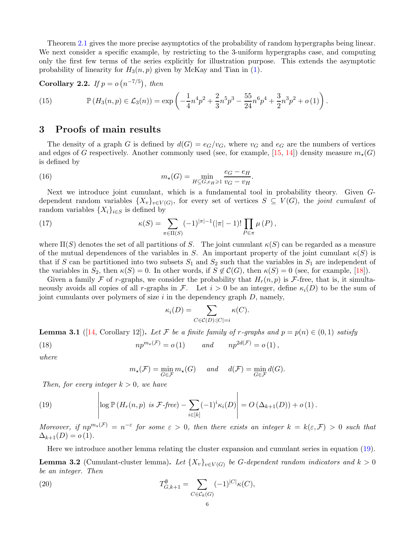Theorem [2.1](#page-4-1) gives the more precise asymptotics of the probability of random hypergraphs being linear. We next consider a specific example, by restricting to the 3-uniform hypergraphs case, and computing only the first few terms of the series explicitly for illustration purpose. This extends the asymptotic probability of linearity for  $H_3(n, p)$  given by McKay and Tian in [\(1\)](#page-0-0).

Corollary 2.2. If  $p = o(n^{-7/5})$ , then

<span id="page-5-3"></span>(15) 
$$
\mathbb{P}(H_3(n,p) \in \mathcal{L}_3(n)) = \exp\left(-\frac{1}{4}n^4p^2 + \frac{2}{3}n^5p^3 - \frac{55}{24}n^6p^4 + \frac{3}{2}n^3p^2 + o(1)\right).
$$

### 3 Proofs of main results

The density of a graph G is defined by  $d(G) = e_G/v_G$ , where  $v_G$  and  $e_G$  are the numbers of vertices and edges of G respectively. Another commonly used (see, for example, [\[15,](#page-12-7) [14\]](#page-12-8)) density measure  $m_{\star}(G)$ is defined by

(16) 
$$
m_{\star}(G) = \min_{H \subseteq G, e_H \geq 1} \frac{e_G - e_H}{v_G - v_H}.
$$

Next we introduce joint cumulant, which is a fundamental tool in probability theory. Given Gdependent random variables  $\{X_v\}_{v\in V(G)}$ , for every set of vertices  $S\subseteq V(G)$ , the joint cumulant of random variables  $\{X_i\}_{i\in S}$  is defined by

(17) 
$$
\kappa(S) = \sum_{\pi \in \Pi(S)} (-1)^{|\pi|-1} (|\pi| - 1)! \prod_{P \in \pi} \mu(P),
$$

where  $\Pi(S)$  denotes the set of all partitions of S. The joint cumulant  $\kappa(S)$  can be regarded as a measure of the mutual dependences of the variables in S. An important property of the joint cumulant  $\kappa(S)$  is that if S can be partitioned into two subsets  $S_1$  and  $S_2$  such that the variables in  $S_1$  are independent of the variables in  $S_2$ , then  $\kappa(S) = 0$ . In other words, if  $S \notin \mathcal{C}(G)$ , then  $\kappa(S) = 0$  (see, for example, [\[18\]](#page-12-9)).

Given a family F of r-graphs, we consider the probability that  $H_r(n, p)$  is F-free, that is, it simultaneously avoids all copies of all r-graphs in F. Let  $i > 0$  be an integer, define  $\kappa_i(D)$  to be the sum of joint cumulants over polymers of size  $i$  in the dependency graph  $D$ , namely,

$$
\kappa_i(D) = \sum_{C \in \mathcal{C}(D): |C| = i} \kappa(C).
$$

<span id="page-5-1"></span>**Lemma 3.1** ([\[14,](#page-12-8) Corollary 12]). Let F be a finite family of r-graphs and  $p = p(n) \in (0, 1)$  satisfy (18)  $np^{m_{\star}(\mathcal{F})} = o(1)$  and  $np^{2d(\mathcal{F})} = o(1)$ ,

where

$$
m_{\star}(\mathcal{F}) = \min_{G \in \mathcal{F}} m_{\star}(G) \quad and \quad d(\mathcal{F}) = \min_{G \in \mathcal{F}} d(G).
$$

 $\mathbf{I}$ 

Then, for every integer  $k > 0$ , we have

<span id="page-5-0"></span>(19) 
$$
\left|\log \mathbb{P}\left(H_r(n,p) \text{ is } \mathcal{F}\text{-free}\right) - \sum_{i\in[k]} (-1)^i \kappa_i(D)\right| = O\left(\Delta_{k+1}(D)\right) + o\left(1\right).
$$

Moreover, if  $np^{m_{\star}(\mathcal{F})} = n^{-\varepsilon}$  for some  $\varepsilon > 0$ , then there exists an integer  $k = k(\varepsilon, \mathcal{F}) > 0$  such that  $\Delta_{k+1}(D) = o(1).$ 

Here we introduce another lemma relating the cluster expansion and cumulant series in equation [\(19\)](#page-5-0). **Lemma 3.2** (Cumulant-cluster lemma). Let  $\{X_v\}_{v\in V(G)}$  be G-dependent random indicators and  $k > 0$ be an integer. Then

<span id="page-5-2"></span>(20) 
$$
T_{G,k+1}^{\emptyset} = \sum_{C \in \mathcal{C}_k(G)} (-1)^{|C|} \kappa(C),
$$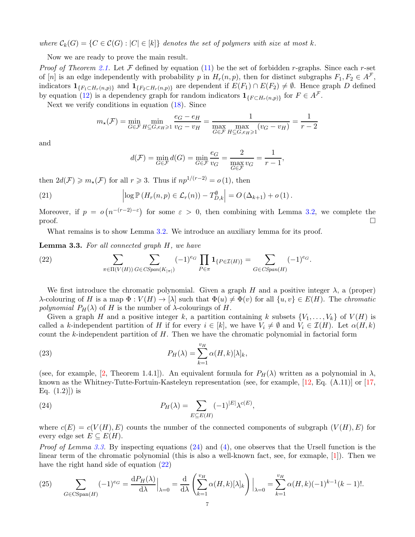where  $\mathcal{C}_k(G) = \{C \in \mathcal{C}(G) : |C| \in [k]\}$  denotes the set of polymers with size at most k.

Now we are ready to prove the main result.

*Proof of Theorem [2.1.](#page-4-1)* Let  $\mathcal F$  defined by equation [\(11\)](#page-4-2) be the set of forbidden r-graphs. Since each r-set of [n] is an edge independently with probability p in  $H_r(n, p)$ , then for distinct subgraphs  $F_1, F_2 \in A^{\mathcal{F}}$ , indicators  $\mathbf{1}_{\{F_1 \subset H_r(n,p)\}}$  and  $\mathbf{1}_{\{F_2 \subset H_r(n,p)\}}$  are dependent if  $E(F_1) \cap E(F_2) \neq \emptyset$ . Hence graph D defined by equation [\(12\)](#page-4-0) is a dependency graph for random indicators  $\mathbf{1}_{\{F \subset H_r(n,p)\}}$  for  $F \in A^{\mathcal{F}}$ .

Next we verify conditions in equation [\(18\)](#page-5-1). Since

$$
m_{\star}(\mathcal{F}) = \min_{G \in \mathcal{F}} \min_{H \subseteq G, e_H \ge 1} \frac{e_G - e_H}{v_G - v_H} = \frac{1}{\max_{G \in \mathcal{F}} \max_{H \subseteq G, e_H \ge 1} (v_G - v_H)} = \frac{1}{r - 2}
$$

and

$$
d(\mathcal{F}) = \min_{G \in \mathcal{F}} d(G) = \min_{G \in \mathcal{F}} \frac{e_G}{v_G} = \frac{2}{\max_{G \in \mathcal{F}} v_G} = \frac{1}{r - 1},
$$

then  $2d(\mathcal{F}) \geq m_\star(\mathcal{F})$  for all  $r \geq 3$ . Thus if  $np^{1/(r-2)} = o(1)$ , then

(21) 
$$
\left| \log \mathbb{P} \left( H_r(n,p) \in \mathcal{L}_r(n) \right) - T_{D,k}^{\emptyset} \right| = O \left( \Delta_{k+1} \right) + o \left( 1 \right).
$$

Moreover, if  $p = o(n^{-(r-2)-\epsilon})$  for some  $\epsilon > 0$ , then combining with Lemma [3.2,](#page-5-2) we complete the  $\Box$ 

What remains is to show Lemma [3.2.](#page-5-2) We introduce an auxiliary lemma for its proof.

Lemma 3.3. For all connected graph H, we have

<span id="page-6-0"></span>(22) 
$$
\sum_{\pi \in \Pi(V(H))} \sum_{G \in CSpan(K_{|\pi|})} (-1)^{e_G} \prod_{P \in \pi} \mathbf{1}_{\{P \in \mathcal{I}(H)\}} = \sum_{G \in CSpan(H)} (-1)^{e_G}.
$$

We first introduce the chromatic polynomial. Given a graph H and a positive integer  $\lambda$ , a (proper) λ-colouring of H is a map  $\Phi: V(H) \to [\lambda]$  such that  $\Phi(u) \neq \Phi(v)$  for all  $\{u, v\} \in E(H)$ . The *chromatic* polynomial  $P_H(\lambda)$  of H is the number of  $\lambda$ -colourings of H.

Given a graph H and a positive integer k, a partition containing k subsets  $\{V_1, \ldots, V_k\}$  of  $V(H)$  is called a k-independent partition of H if for every  $i \in [k]$ , we have  $V_i \neq \emptyset$  and  $V_i \in \mathcal{I}(H)$ . Let  $\alpha(H, k)$ count the k-independent partition of  $H$ . Then we have the chromatic polynomial in factorial form

(23) 
$$
P_H(\lambda) = \sum_{k=1}^{v_H} \alpha(H,k)[\lambda]_k,
$$

(see, for example, [\[2,](#page-11-3) Theorem 1.4.1]). An equivalent formula for  $P_H(\lambda)$  written as a polynomial in  $\lambda$ , known as the Whitney-Tutte-Fortuin-Kasteleyn representation (see, for example, [\[12,](#page-12-10) Eq. (A.11)] or [\[17,](#page-12-11) Eq.  $(1.2)$ ] is

<span id="page-6-1"></span>(24) 
$$
P_H(\lambda) = \sum_{E \subseteq E(H)} (-1)^{|E|} \lambda^{c(E)},
$$

where  $c(E) = c(V(H), E)$  counts the number of the connected components of subgraph  $(V(H), E)$  for every edge set  $E \subseteq E(H)$ .

*Proof of Lemma [3.3.](#page-6-0)* By inspecting equations  $(24)$  and  $(4)$ , one observes that the Ursell function is the linear term of the chromatic polynomial (this is also a well-known fact, see, for exmaple, [\[1\]](#page-11-4)). Then we have the right hand side of equation [\(22\)](#page-6-0)

<span id="page-6-2"></span>(25) 
$$
\sum_{G \in \text{CSpan}(H)} (-1)^{e_G} = \frac{dP_H(\lambda)}{d\lambda} \Big|_{\lambda=0} = \frac{d}{d\lambda} \left( \sum_{k=1}^{v_H} \alpha(H,k) [\lambda]_k \right) \Big|_{\lambda=0} = \sum_{k=1}^{v_H} \alpha(H,k) (-1)^{k-1} (k-1)!.
$$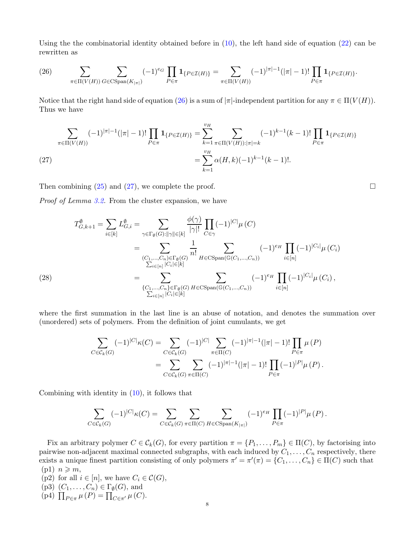Using the the combinatorial identity obtained before in [\(10\)](#page-3-2), the left hand side of equation [\(22\)](#page-6-0) can be rewritten as

<span id="page-7-0"></span>(26) 
$$
\sum_{\pi \in \Pi(V(H))} \sum_{G \in \text{CSpan}(K_{|\pi|})} (-1)^{e_G} \prod_{P \in \pi} \mathbf{1}_{\{P \in \mathcal{I}(H)\}} = \sum_{\pi \in \Pi(V(H))} (-1)^{|\pi|-1} (|\pi|-1)! \prod_{P \in \pi} \mathbf{1}_{\{P \in \mathcal{I}(H)\}}.
$$

Notice that the right hand side of equation [\(26\)](#page-7-0) is a sum of  $|\pi|$ -independent partition for any  $\pi \in \Pi(V(H))$ . Thus we have

$$
\sum_{\pi \in \Pi(V(H))} (-1)^{|\pi|-1} (|\pi|-1)! \prod_{P \in \pi} \mathbf{1}_{\{P \in \mathcal{I}(H)\}} = \sum_{k=1}^{v_H} \sum_{\pi \in \Pi(V(H)) : |\pi| = k} (-1)^{k-1} (k-1)! \prod_{P \in \pi} \mathbf{1}_{\{P \in \mathcal{I}(H)\}} = \sum_{k=1}^{v_H} \alpha(H,k) (-1)^{k-1} (k-1)!.
$$
\n(27)

<span id="page-7-1"></span>Then combining  $(25)$  and  $(27)$ , we complete the proof.

Proof of Lemma [3.2.](#page-5-2) From the cluster expansion, we have

$$
T_{G,k+1}^{\emptyset} = \sum_{i \in [k]} L_{G,i}^{\emptyset} = \sum_{\gamma \in \Gamma_{\emptyset}(G): ||\gamma|| \in [k]} \frac{\phi(\gamma)}{|\gamma|!} \prod_{C \in \gamma} (-1)^{|C|} \mu(C)
$$
  
\n
$$
= \sum_{\substack{(C_1, \dots, C_n) \in \Gamma_{\emptyset}(G) \\ \sum_{i \in [n]} |C_i| \in [k]}} \frac{1}{n!} \sum_{H \in \text{CSpan}(\mathbb{G}(C_1, \dots, C_n))} (-1)^{e_H} \prod_{i \in [n]} (-1)^{|C_i|} \mu(C_i)
$$
  
\n
$$
= \sum_{\substack{\{C_1, \dots, C_n\} \in \Gamma_{\emptyset}(G) \\ \sum_{i \in [n]} |C_i| \in [k]}} \sum_{H \in \text{CSpan}(\mathbb{G}(C_1, \dots, C_n))} (-1)^{e_H} \prod_{i \in [n]} (-1)^{|C_i|} \mu(C_i),
$$

<span id="page-7-2"></span>where the first summation in the last line is an abuse of notation, and denotes the summation over (unordered) sets of polymers. From the definition of joint cumulants, we get

$$
\sum_{C \in \mathcal{C}_k(G)} (-1)^{|C|} \kappa(C) = \sum_{C \in \mathcal{C}_k(G)} (-1)^{|C|} \sum_{\pi \in \Pi(C)} (-1)^{|\pi|-1} (|\pi|-1)! \prod_{P \in \pi} \mu(P)
$$

$$
= \sum_{C \in \mathcal{C}_k(G)} \sum_{\pi \in \Pi(C)} (-1)^{|\pi|-1} (|\pi|-1)! \prod_{P \in \pi} (-1)^{|P|} \mu(P).
$$

Combining with identity in [\(10\)](#page-3-2), it follows that

$$
\sum_{C \in \mathcal{C}_k(G)} (-1)^{|C|} \kappa(C) = \sum_{C \in \mathcal{C}_k(G)} \sum_{\pi \in \Pi(C)} \sum_{H \in \text{CSpan}(K_{|\pi|})} (-1)^{e_H} \prod_{P \in \pi} (-1)^{|P|} \mu(P).
$$

Fix an arbitrary polymer  $C \in \mathcal{C}_k(G)$ , for every partition  $\pi = \{P_1, \ldots, P_m\} \in \Pi(C)$ , by factorising into pairwise non-adjacent maximal connected subgraphs, with each induced by  $C_1, \ldots, C_n$  respectively, there exists a unique finest partition consisting of only polymers  $\pi' = \pi'(\pi) = \{C_1, \ldots, C_n\} \in \Pi(C)$  such that  $(p1)$   $n \geqslant m$ ,

- (p2) for all  $i \in [n]$ , we have  $C_i \in \mathcal{C}(G)$ , (p3)  $(C_1, \ldots, C_n) \in \Gamma_{\emptyset}(G)$ , and
- (p4)  $\prod_{P \in \pi} \mu(P) = \prod_{C \in \pi'} \mu(C)$ .

$$
\qquad \qquad \Box
$$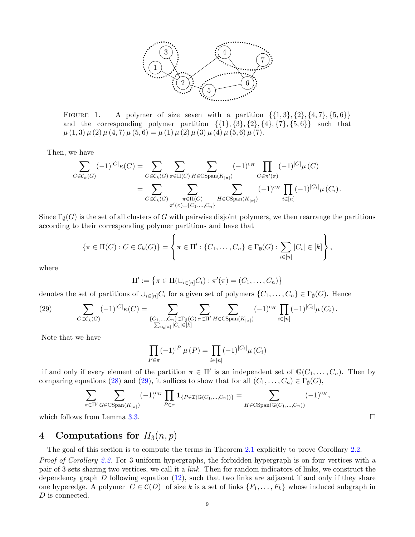

FIGURE 1. A polymer of size seven with a partition  $\{\{1,3\},\{2\},\{4,7\},\{5,6\}\}\$ and the corresponding polymer partition  $\{\{1\}, \{3\}, \{2\}, \{4\}, \{7\}, \{5, 6\}\}\$  such that  $\mu(1,3)\mu(2)\mu(4,7)\mu(5,6) = \mu(1)\mu(2)\mu(3)\mu(4)\mu(5,6)\mu(7).$ 

Then, we have

$$
\sum_{C \in \mathcal{C}_k(G)} (-1)^{|C|} \kappa(C) = \sum_{C \in \mathcal{C}_k(G)} \sum_{\pi \in \Pi(C)} \sum_{H \in \text{CSpan}(K_{|\pi|})} (-1)^{e_H} \prod_{C \in \pi'(\pi)} (-1)^{|C|} \mu(C)
$$
  
= 
$$
\sum_{C \in \mathcal{C}_k(G)} \sum_{\substack{\pi \in \Pi(C) \\ \pi'(\pi) = \{C_1, \dots, C_n\}}} (-1)^{e_H} \prod_{H \in \text{CSpan}(K_{|\pi|})} (-1)^{|H|} \prod_{i \in [n]} (-1)^{|C_i|} \mu(C_i).
$$

Since  $\Gamma_{\emptyset}(G)$  is the set of all clusters of G with pairwise disjoint polymers, we then rearrange the partitions according to their corresponding polymer partitions and have that

$$
\{\pi \in \Pi(C) : C \in \mathcal{C}_k(G)\} = \left\{\pi \in \Pi' : \{C_1, \ldots, C_n\} \in \Gamma_{\emptyset}(G) : \sum_{i \in [n]} |C_i| \in [k]\right\},\
$$

where

$$
\Pi' := \{ \pi \in \Pi(\cup_{i \in [n]} C_i) : \pi'(\pi) = (C_1, \dots, C_n) \}
$$

denotes the set of partitions of  $\cup_{i\in[n]} C_i$  for a given set of polymers  $\{C_1,\ldots,C_n\} \in \Gamma_{\emptyset}(G)$ . Hence

<span id="page-8-0"></span>(29) 
$$
\sum_{C \in \mathcal{C}_k(G)} (-1)^{|C|} \kappa(C) = \sum_{\substack{\{C_1, ..., C_n\} \in \Gamma_{\emptyset}(G) \\ \sum_{i \in [n]} |C_i| \in [k]}} \sum_{\pi \in \Pi'} \sum_{H \in \text{CSpan}(K_{|\pi|})} (-1)^{e_H} \prod_{i \in [n]} (-1)^{|C_i|} \mu(C_i).
$$

Note that we have

$$
\prod_{P \in \pi} (-1)^{|P|} \mu(P) = \prod_{i \in [n]} (-1)^{|C_i|} \mu(C_i)
$$

if and only if every element of the partition  $\pi \in \Pi'$  is an independent set of  $\mathbb{G}(C_1,\ldots,C_n)$ . Then by comparing equations [\(28\)](#page-7-2) and [\(29\)](#page-8-0), it suffices to show that for all  $(C_1, \ldots, C_n) \in \Gamma_{\emptyset}(G)$ ,

$$
\sum_{\pi \in \Pi'} \sum_{G \in \text{CSpan}(K_{|\pi|})} (-1)^{e_G} \prod_{P \in \pi} \mathbf{1}_{\{P \in \mathcal{I}(\mathbb{G}(C_1, \ldots, C_n))\}} = \sum_{H \in \text{CSpan}(\mathbb{G}(C_1, \ldots, C_n))} (-1)^{e_H},
$$

which follows from Lemma [3.3.](#page-6-0)

# 4 Computations for  $H_3(n,p)$

The goal of this section is to compute the terms in Theorem [2.1](#page-4-1) explicitly to prove Corollary [2.2.](#page-5-3)

Proof of Corollary [2.2.](#page-5-3) For 3-uniform hypergraphs, the forbidden hypergraph is on four vertices with a pair of 3-sets sharing two vertices, we call it a link. Then for random indicators of links, we construct the dependency graph  $D$  following equation [\(12\)](#page-4-0), such that two links are adjacent if and only if they share one hyperedge. A polymer  $C \in \mathcal{C}(D)$  of size k is a set of links  $\{F_1, \ldots, F_k\}$  whose induced subgraph in D is connected.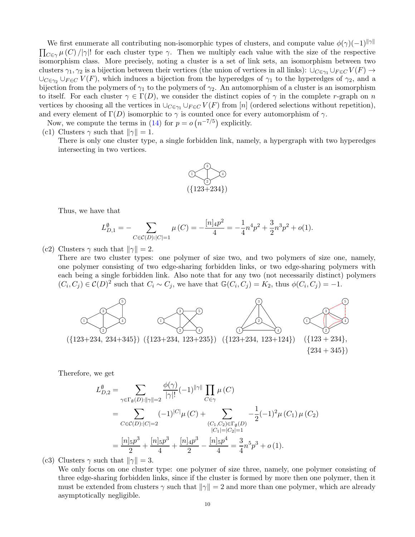We first enumerate all contributing non-isomorphic types of clusters, and compute value  $\phi(\gamma)(-1)^{||\gamma||}$  $\prod_{C\in\gamma}\mu(C)/|\gamma|!$  for each cluster type  $\gamma$ . Then we multiply each value with the size of the respective isomorphism class. More precisely, noting a cluster is a set of link sets, an isomorphism between two clusters  $\gamma_1, \gamma_2$  is a bijection between their vertices (the union of vertices in all links):  $\cup_{C \in \gamma_1} \cup_{F \in C} V(F) \to$  $\cup_{C\in\gamma_2}\cup_{F\in C}V(F)$ , which induces a bijection from the hyperedges of  $\gamma_1$  to the hyperedges of  $\gamma_2$ , and a bijection from the polymers of  $\gamma_1$  to the polymers of  $\gamma_2$ . An automorphism of a cluster is an isomorphism to itself. For each cluster  $\gamma \in \Gamma(D)$ , we consider the distinct copies of  $\gamma$  in the complete r-graph on n vertices by choosing all the vertices in  $\cup_{C \in \gamma_1} \cup_{F \in C} V(F)$  from [n] (ordered selections without repetition), and every element of  $\Gamma(D)$  isomorphic to  $\gamma$  is counted once for every automorphism of  $\gamma$ .

Now, we compute the terms in [\(14\)](#page-4-1) for  $p = o(n^{-7/5})$  explicitly.

(c1) Clusters  $\gamma$  such that  $\|\gamma\| = 1$ .

There is only one cluster type, a single forbidden link, namely, a hypergraph with two hyperedges intersecting in two vertices.



Thus, we have that

$$
L_{D,1}^{\emptyset} = -\sum_{C \in \mathcal{C}(D): |C| = 1} \mu(C) = -\frac{[n]_4 p^2}{4} = -\frac{1}{4}n^4 p^2 + \frac{3}{2}n^3 p^2 + o(1).
$$

(c2) Clusters  $\gamma$  such that  $\|\gamma\| = 2$ .

There are two cluster types: one polymer of size two, and two polymers of size one, namely, one polymer consisting of two edge-sharing forbidden links, or two edge-sharing polymers with each being a single forbidden link. Also note that for any two (not necessarily distinct) polymers  $(C_i, C_j) \in \mathcal{C}(D)^2$  such that  $C_i \sim C_j$ , we have that  $\mathbb{G}(C_i, C_j) = K_2$ , thus  $\phi(C_i, C_j) = -1$ .



Therefore, we get

$$
L_{D,2}^{\emptyset} = \sum_{\gamma \in \Gamma_{\emptyset}(D): ||\gamma|| = 2} \frac{\phi(\gamma)}{|\gamma|!} (-1)^{||\gamma||} \prod_{C \in \gamma} \mu(C)
$$
  
= 
$$
\sum_{C \in \mathcal{C}(D): |C| = 2} (-1)^{|C|} \mu(C) + \sum_{\substack{(C_1, C_2) \in \Gamma_{\emptyset}(D) \\ |C_1| = |C_2| = 1}} -\frac{1}{2} (-1)^2 \mu(C_1) \mu(C_2)
$$
  
= 
$$
\frac{[n]_5 p^3}{2} + \frac{[n]_5 p^3}{4} + \frac{[n]_4 p^3}{2} - \frac{[n]_5 p^4}{4} = \frac{3}{4} n^5 p^3 + o(1).
$$

(c3) Clusters  $\gamma$  such that  $\|\gamma\| = 3$ .

We only focus on one cluster type: one polymer of size three, namely, one polymer consisting of three edge-sharing forbidden links, since if the cluster is formed by more then one polymer, then it must be extended from clusters  $\gamma$  such that  $\|\gamma\| = 2$  and more than one polymer, which are already asymptotically negligible.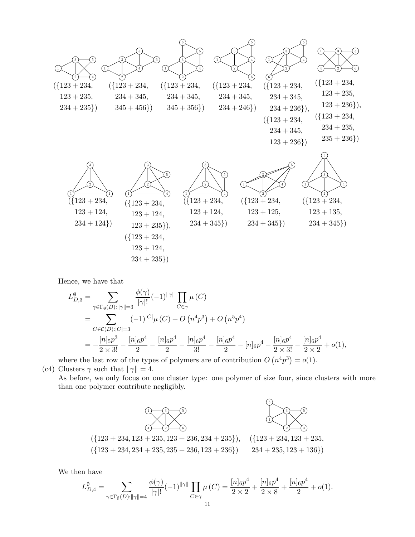

Hence, we have that

$$
L_{D,3}^{\emptyset} = \sum_{\gamma \in \Gamma_{\emptyset}(D): ||\gamma|| = 3} \frac{\phi(\gamma)}{|\gamma|!} (-1)^{||\gamma||} \prod_{C \in \gamma} \mu(C)
$$
  
= 
$$
\sum_{C \in \mathcal{C}(D): |C| = 3} (-1)^{|C|} \mu(C) + O(n^4 p^3) + O(n^5 p^4)
$$
  
= 
$$
-\frac{[n]_5 p^3}{2 \times 3!} - \frac{[n]_6 p^4}{2} - \frac{[n]_6 p^4}{2} - \frac{[n]_6 p^4}{3!} - \frac{[n]_6 p^4}{2} - [n]_6 p^4 - \frac{[n]_6 p^4}{2 \times 3!} - \frac{[n]_6 p^4}{2 \times 2} + o(1),
$$

where the last row of the types of polymers are of contribution  $O(n^4p^3) = o(1)$ . (c4) Clusters  $\gamma$  such that  $\|\gamma\| = 4$ .

As before, we only focus on one cluster type: one polymer of size four, since clusters with more than one polymer contribute negligibly.



We then have

$$
L_{D,4}^{\emptyset} = \sum_{\gamma \in \Gamma_{\emptyset}(D): ||\gamma|| = 4} \frac{\phi(\gamma)}{|\gamma|!} (-1)^{||\gamma||} \prod_{C \in \gamma} \mu(C) = \frac{[n]_6 p^4}{2 \times 2} + \frac{[n]_6 p^4}{2 \times 8} + \frac{[n]_6 p^4}{2} + o(1).
$$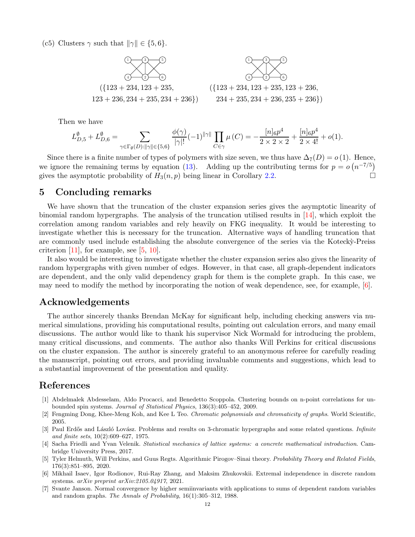(c5) Clusters  $\gamma$  such that  $\|\gamma\| \in \{5, 6\}.$ 



Then we have

$$
L_{D,5}^{\emptyset}+L_{D,6}^{\emptyset}=\sum_{\gamma\in \Gamma_{\emptyset}(D): ||\gamma||\in \{5,6\}}\frac{\phi(\gamma)}{|\gamma|!}(-1)^{||\gamma||}\prod_{C\in \gamma}\mu\left(C\right)=-\frac{[n]_6p^4}{2\times 2\times 2}+\frac{[n]_6p^4}{2\times 4!}+o(1).
$$

Since there is a finite number of types of polymers with size seven, we thus have  $\Delta_7(D) = o(1)$ . Hence, we ignore the remaining terms by equation [\(13\)](#page-4-3). Adding up the contributing terms for  $p = o(n^{-7/5})$ gives the asymptotic probability of  $H_3(n, p)$  being linear in Corollary [2.2.](#page-5-3)

#### 5 Concluding remarks

We have shown that the truncation of the cluster expansion series gives the asymptotic linearity of binomial random hypergraphs. The analysis of the truncation utilised results in [\[14\]](#page-12-8), which exploit the correlation among random variables and rely heavily on FKG inequality. It would be interesting to investigate whether this is necessary for the truncation. Alternative ways of handling truncation that are commonly used include establishing the absolute convergence of the series via the Kotecky-Preiss criterion  $[11]$ , for example, see  $[5, 10]$  $[5, 10]$ .

It also would be interesting to investigate whether the cluster expansion series also gives the linearity of random hypergraphs with given number of edges. However, in that case, all graph-dependent indicators are dependent, and the only valid dependency graph for them is the complete graph. In this case, we may need to modify the method by incorporating the notion of weak dependence, see, for example, [\[6\]](#page-11-6).

### Acknowledgements

The author sincerely thanks Brendan McKay for significant help, including checking answers via numerical simulations, providing his computational results, pointing out calculation errors, and many email discussions. The author would like to thank his supervisor Nick Wormald for introducing the problem, many critical discussions, and comments. The author also thanks Will Perkins for critical discussions on the cluster expansion. The author is sincerely grateful to an anonymous referee for carefully reading the manuscript, pointing out errors, and providing invaluable comments and suggestions, which lead to a substantial improvement of the presentation and quality.

### References

- <span id="page-11-4"></span>[1] Abdelmalek Abdesselam, Aldo Procacci, and Benedetto Scoppola. Clustering bounds on n-point correlations for unbounded spin systems. *Journal of Statistical Physics*, 136(3):405–452, 2009.
- <span id="page-11-3"></span><span id="page-11-2"></span>[2] Fengming Dong, Khee-Meng Koh, and Kee L Teo. *Chromatic polynomials and chromaticity of graphs*. World Scientific, 2005.
- [3] Paul Erdős and László Lovász. Problems and results on 3-chromatic hypergraphs and some related questions. *Infinite and finite sets*, 10(2):609–627, 1975.
- <span id="page-11-0"></span>[4] Sacha Friedli and Yvan Velenik. *Statistical mechanics of lattice systems: a concrete mathematical introduction*. Cambridge University Press, 2017.
- <span id="page-11-5"></span>[5] Tyler Helmuth, Will Perkins, and Guus Regts. Algorithmic Pirogov–Sinai theory. *Probability Theory and Related Fields*, 176(3):851–895, 2020.
- <span id="page-11-6"></span>[6] Mikhail Isaev, Igor Rodionov, Rui-Ray Zhang, and Maksim Zhukovskii. Extremal independence in discrete random systems. *arXiv preprint arXiv:2105.04917*, 2021.
- <span id="page-11-1"></span>[7] Svante Janson. Normal convergence by higher semiinvariants with applications to sums of dependent random variables and random graphs. *The Annals of Probability*, 16(1):305–312, 1988.